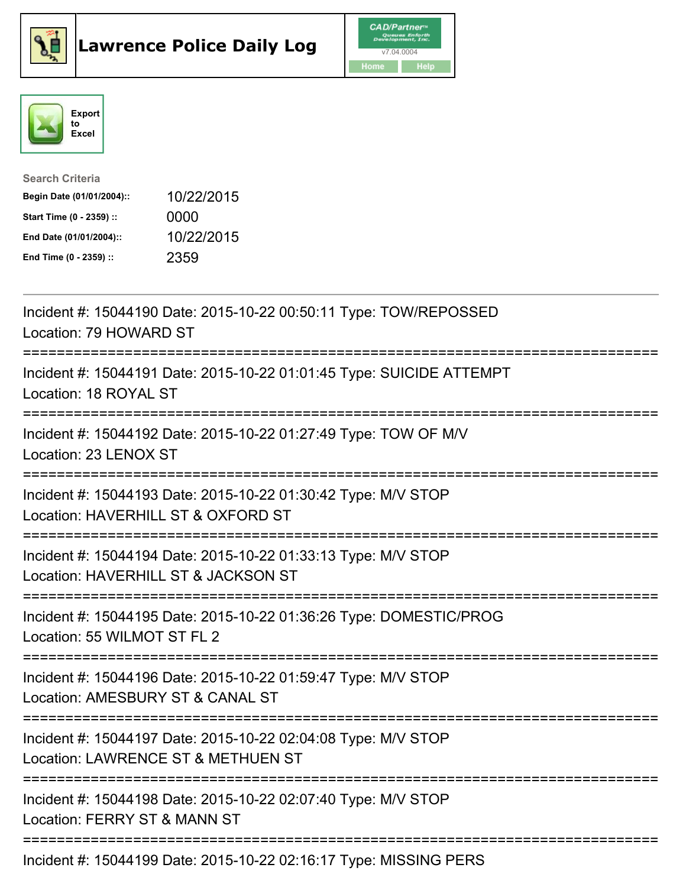





| <b>Search Criteria</b>    |            |
|---------------------------|------------|
| Begin Date (01/01/2004):: | 10/22/2015 |
| Start Time (0 - 2359) ::  | 0000       |
| End Date (01/01/2004)::   | 10/22/2015 |
| End Time (0 - 2359) ::    | 2359       |

| Incident #: 15044190 Date: 2015-10-22 00:50:11 Type: TOW/REPOSSED<br>Location: 79 HOWARD ST                                                    |
|------------------------------------------------------------------------------------------------------------------------------------------------|
| Incident #: 15044191 Date: 2015-10-22 01:01:45 Type: SUICIDE ATTEMPT<br>Location: 18 ROYAL ST                                                  |
| Incident #: 15044192 Date: 2015-10-22 01:27:49 Type: TOW OF M/V<br>Location: 23 LENOX ST                                                       |
| Incident #: 15044193 Date: 2015-10-22 01:30:42 Type: M/V STOP<br>Location: HAVERHILL ST & OXFORD ST<br>-----------<br>------------------------ |
| Incident #: 15044194 Date: 2015-10-22 01:33:13 Type: M/V STOP<br>Location: HAVERHILL ST & JACKSON ST<br>-------------------------              |
| Incident #: 15044195 Date: 2015-10-22 01:36:26 Type: DOMESTIC/PROG<br>Location: 55 WILMOT ST FL 2                                              |
| Incident #: 15044196 Date: 2015-10-22 01:59:47 Type: M/V STOP<br>Location: AMESBURY ST & CANAL ST<br>===========================               |
| Incident #: 15044197 Date: 2015-10-22 02:04:08 Type: M/V STOP<br>Location: LAWRENCE ST & METHUEN ST<br>.-------------------------              |
| Incident #: 15044198 Date: 2015-10-22 02:07:40 Type: M/V STOP<br>Location: FERRY ST & MANN ST                                                  |
| Incident #: 15044199 Date: 2015-10-22 02:16:17 Type: MISSING PERS                                                                              |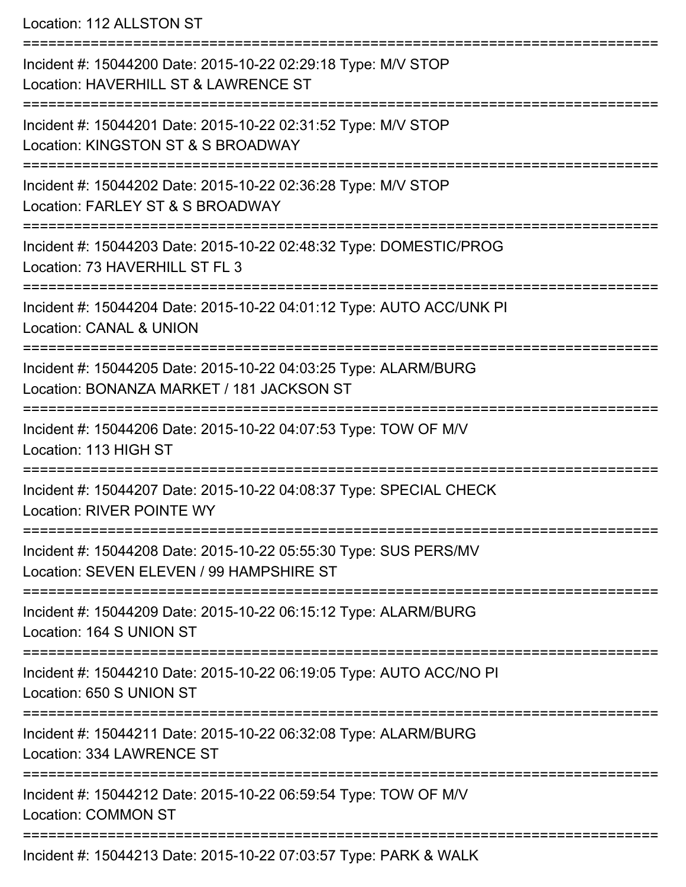Location: 112 ALLSTON ST

=========================================================================== Incident #: 15044200 Date: 2015-10-22 02:29:18 Type: M/V STOP Location: HAVERHILL ST & LAWRENCE ST =========================================================================== Incident #: 15044201 Date: 2015-10-22 02:31:52 Type: M/V STOP Location: KINGSTON ST & S BROADWAY =========================================================================== Incident #: 15044202 Date: 2015-10-22 02:36:28 Type: M/V STOP Location: FARLEY ST & S BROADWAY =========================================================================== Incident #: 15044203 Date: 2015-10-22 02:48:32 Type: DOMESTIC/PROG Location: 73 HAVERHILL ST FL 3 =========================================================================== Incident #: 15044204 Date: 2015-10-22 04:01:12 Type: AUTO ACC/UNK PI Location: CANAL & UNION =========================================================================== Incident #: 15044205 Date: 2015-10-22 04:03:25 Type: ALARM/BURG Location: BONANZA MARKET / 181 JACKSON ST =========================================================================== Incident #: 15044206 Date: 2015-10-22 04:07:53 Type: TOW OF M/V Location: 113 HIGH ST =========================================================================== Incident #: 15044207 Date: 2015-10-22 04:08:37 Type: SPECIAL CHECK Location: RIVER POINTE WY =========================================================================== Incident #: 15044208 Date: 2015-10-22 05:55:30 Type: SUS PERS/MV Location: SEVEN ELEVEN / 99 HAMPSHIRE ST =========================================================================== Incident #: 15044209 Date: 2015-10-22 06:15:12 Type: ALARM/BURG Location: 164 S UNION ST =========================================================================== Incident #: 15044210 Date: 2015-10-22 06:19:05 Type: AUTO ACC/NO PI Location: 650 S UNION ST =========================================================================== Incident #: 15044211 Date: 2015-10-22 06:32:08 Type: ALARM/BURG Location: 334 LAWRENCE ST =========================================================================== Incident #: 15044212 Date: 2015-10-22 06:59:54 Type: TOW OF M/V Location: COMMON ST =========================================================================== Incident #: 15044213 Date: 2015-10-22 07:03:57 Type: PARK & WALK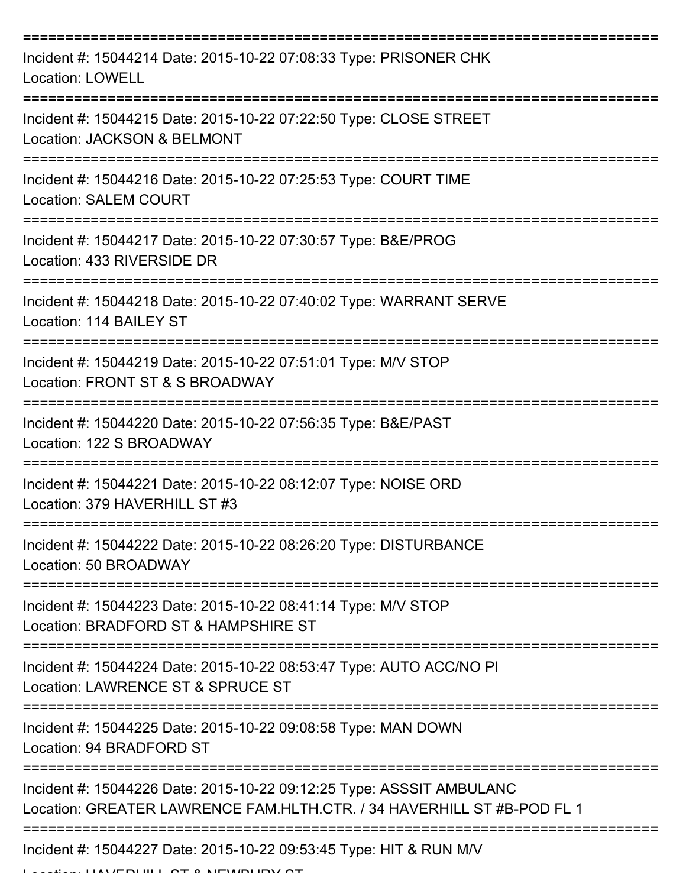| Incident #: 15044214 Date: 2015-10-22 07:08:33 Type: PRISONER CHK<br><b>Location: LOWELL</b>                                                   |
|------------------------------------------------------------------------------------------------------------------------------------------------|
| Incident #: 15044215 Date: 2015-10-22 07:22:50 Type: CLOSE STREET<br>Location: JACKSON & BELMONT                                               |
| Incident #: 15044216 Date: 2015-10-22 07:25:53 Type: COURT TIME<br><b>Location: SALEM COURT</b>                                                |
| Incident #: 15044217 Date: 2015-10-22 07:30:57 Type: B&E/PROG<br>Location: 433 RIVERSIDE DR                                                    |
| Incident #: 15044218 Date: 2015-10-22 07:40:02 Type: WARRANT SERVE<br>Location: 114 BAILEY ST                                                  |
| Incident #: 15044219 Date: 2015-10-22 07:51:01 Type: M/V STOP<br>Location: FRONT ST & S BROADWAY                                               |
| Incident #: 15044220 Date: 2015-10-22 07:56:35 Type: B&E/PAST<br>Location: 122 S BROADWAY                                                      |
| Incident #: 15044221 Date: 2015-10-22 08:12:07 Type: NOISE ORD<br>Location: 379 HAVERHILL ST #3                                                |
| Incident #: 15044222 Date: 2015-10-22 08:26:20 Type: DISTURBANCE<br>Location: 50 BROADWAY                                                      |
| Incident #: 15044223 Date: 2015-10-22 08:41:14 Type: M/V STOP<br>Location: BRADFORD ST & HAMPSHIRE ST                                          |
| Incident #: 15044224 Date: 2015-10-22 08:53:47 Type: AUTO ACC/NO PI<br>Location: LAWRENCE ST & SPRUCE ST                                       |
| Incident #: 15044225 Date: 2015-10-22 09:08:58 Type: MAN DOWN<br>Location: 94 BRADFORD ST                                                      |
| Incident #: 15044226 Date: 2015-10-22 09:12:25 Type: ASSSIT AMBULANC<br>Location: GREATER LAWRENCE FAM.HLTH.CTR. / 34 HAVERHILL ST #B-POD FL 1 |
| Incident #: 15044227 Date: 2015-10-22 09:53:45 Type: HIT & RUN M/V<br>$\frac{1}{100}$                                                          |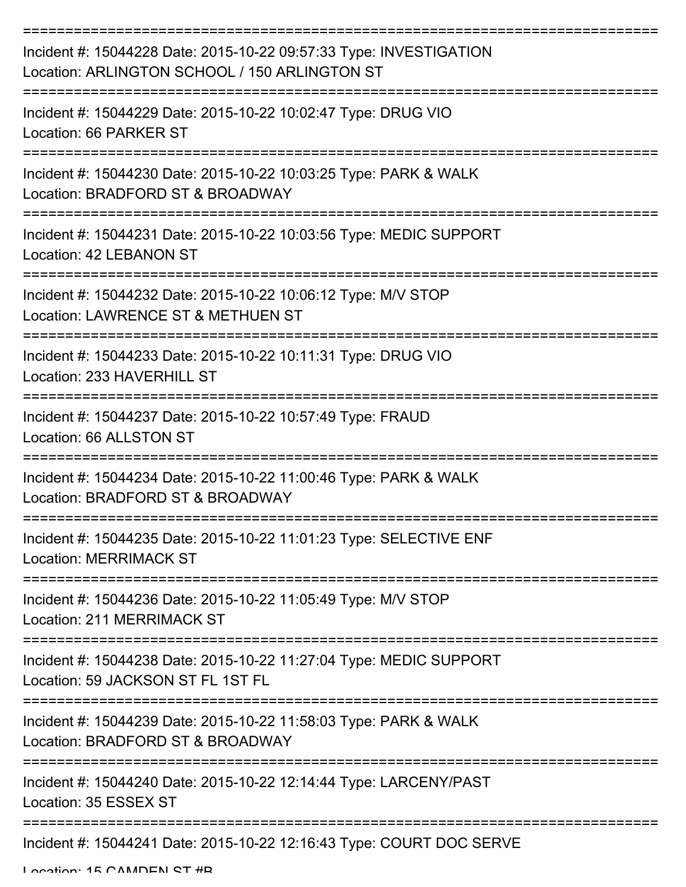| Incident #: 15044228 Date: 2015-10-22 09:57:33 Type: INVESTIGATION<br>Location: ARLINGTON SCHOOL / 150 ARLINGTON ST   |
|-----------------------------------------------------------------------------------------------------------------------|
| Incident #: 15044229 Date: 2015-10-22 10:02:47 Type: DRUG VIO<br>Location: 66 PARKER ST                               |
| Incident #: 15044230 Date: 2015-10-22 10:03:25 Type: PARK & WALK<br>Location: BRADFORD ST & BROADWAY                  |
| Incident #: 15044231 Date: 2015-10-22 10:03:56 Type: MEDIC SUPPORT<br>Location: 42 LEBANON ST                         |
| Incident #: 15044232 Date: 2015-10-22 10:06:12 Type: M/V STOP<br>Location: LAWRENCE ST & METHUEN ST                   |
| Incident #: 15044233 Date: 2015-10-22 10:11:31 Type: DRUG VIO<br>Location: 233 HAVERHILL ST                           |
| Incident #: 15044237 Date: 2015-10-22 10:57:49 Type: FRAUD<br>Location: 66 ALLSTON ST                                 |
| Incident #: 15044234 Date: 2015-10-22 11:00:46 Type: PARK & WALK<br>Location: BRADFORD ST & BROADWAY                  |
| Incident #: 15044235 Date: 2015-10-22 11:01:23 Type: SELECTIVE ENF<br><b>Location: MERRIMACK ST</b>                   |
| ---------------<br>Incident #: 15044236 Date: 2015-10-22 11:05:49 Type: M/V STOP<br><b>Location: 211 MERRIMACK ST</b> |
| Incident #: 15044238 Date: 2015-10-22 11:27:04 Type: MEDIC SUPPORT<br>Location: 59 JACKSON ST FL 1ST FL               |
| Incident #: 15044239 Date: 2015-10-22 11:58:03 Type: PARK & WALK<br>Location: BRADFORD ST & BROADWAY                  |
| Incident #: 15044240 Date: 2015-10-22 12:14:44 Type: LARCENY/PAST<br>Location: 35 ESSEX ST                            |
| Incident #: 15044241 Date: 2015-10-22 12:16:43 Type: COURT DOC SERVE                                                  |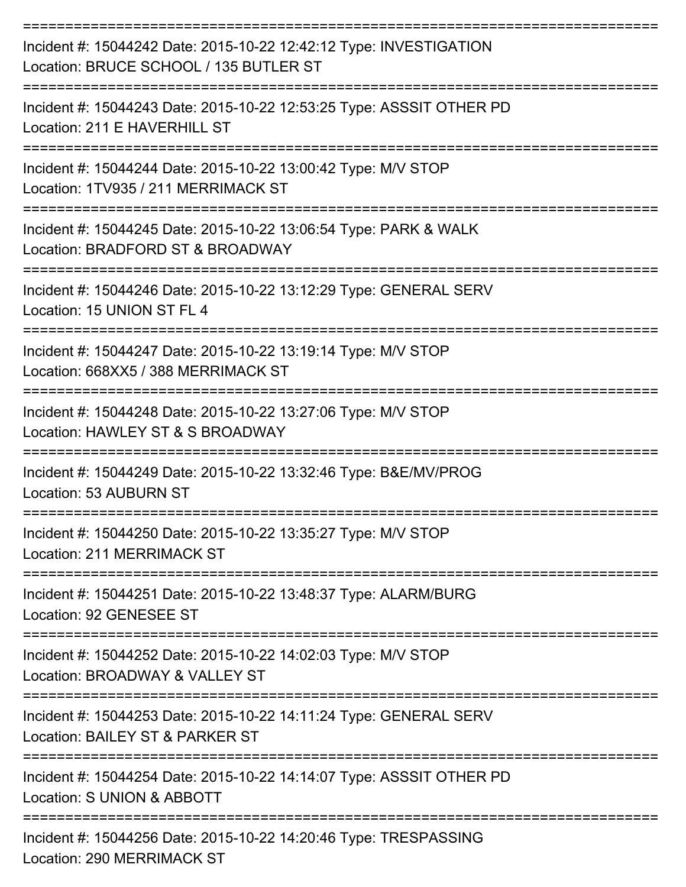| Incident #: 15044242 Date: 2015-10-22 12:42:12 Type: INVESTIGATION<br>Location: BRUCE SCHOOL / 135 BUTLER ST |
|--------------------------------------------------------------------------------------------------------------|
| Incident #: 15044243 Date: 2015-10-22 12:53:25 Type: ASSSIT OTHER PD<br>Location: 211 E HAVERHILL ST         |
| Incident #: 15044244 Date: 2015-10-22 13:00:42 Type: M/V STOP<br>Location: 1TV935 / 211 MERRIMACK ST         |
| Incident #: 15044245 Date: 2015-10-22 13:06:54 Type: PARK & WALK<br>Location: BRADFORD ST & BROADWAY         |
| Incident #: 15044246 Date: 2015-10-22 13:12:29 Type: GENERAL SERV<br>Location: 15 UNION ST FL 4              |
| Incident #: 15044247 Date: 2015-10-22 13:19:14 Type: M/V STOP<br>Location: 668XX5 / 388 MERRIMACK ST         |
| Incident #: 15044248 Date: 2015-10-22 13:27:06 Type: M/V STOP<br>Location: HAWLEY ST & S BROADWAY            |
| Incident #: 15044249 Date: 2015-10-22 13:32:46 Type: B&E/MV/PROG<br>Location: 53 AUBURN ST                   |
| Incident #: 15044250 Date: 2015-10-22 13:35:27 Type: M/V STOP<br>Location: 211 MERRIMACK ST                  |
| Incident #: 15044251 Date: 2015-10-22 13:48:37 Type: ALARM/BURG<br>Location: 92 GENESEE ST                   |
| Incident #: 15044252 Date: 2015-10-22 14:02:03 Type: M/V STOP<br>Location: BROADWAY & VALLEY ST              |
| Incident #: 15044253 Date: 2015-10-22 14:11:24 Type: GENERAL SERV<br>Location: BAILEY ST & PARKER ST         |
| Incident #: 15044254 Date: 2015-10-22 14:14:07 Type: ASSSIT OTHER PD<br>Location: S UNION & ABBOTT           |
| Incident #: 15044256 Date: 2015-10-22 14:20:46 Type: TRESPASSING<br>Location: 290 MERRIMACK ST               |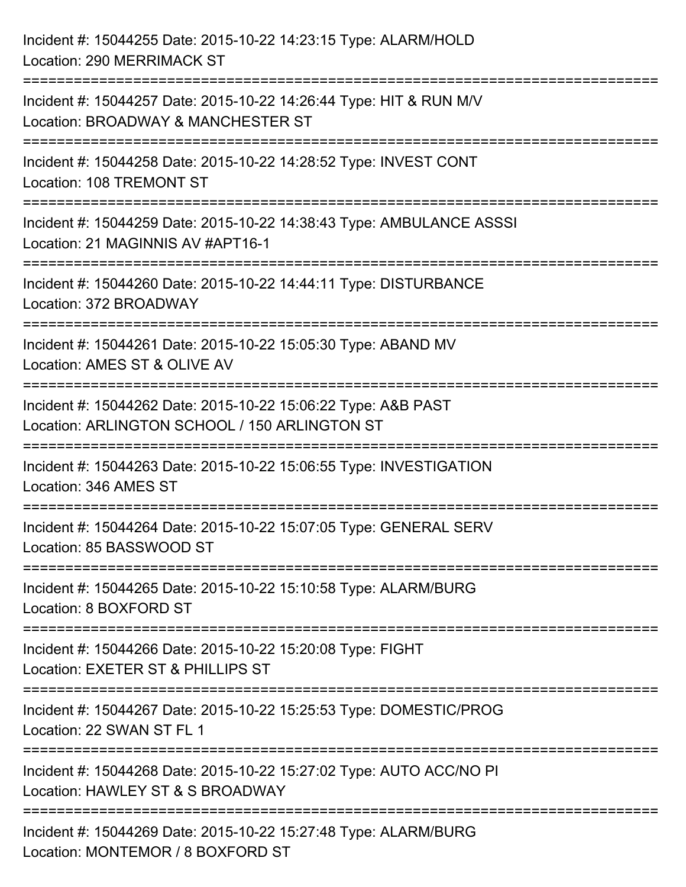| Incident #: 15044255 Date: 2015-10-22 14:23:15 Type: ALARM/HOLD<br><b>Location: 290 MERRIMACK ST</b>                    |
|-------------------------------------------------------------------------------------------------------------------------|
| Incident #: 15044257 Date: 2015-10-22 14:26:44 Type: HIT & RUN M/V<br>Location: BROADWAY & MANCHESTER ST                |
| Incident #: 15044258 Date: 2015-10-22 14:28:52 Type: INVEST CONT<br>Location: 108 TREMONT ST                            |
| Incident #: 15044259 Date: 2015-10-22 14:38:43 Type: AMBULANCE ASSSI<br>Location: 21 MAGINNIS AV #APT16-1               |
| Incident #: 15044260 Date: 2015-10-22 14:44:11 Type: DISTURBANCE<br>Location: 372 BROADWAY<br>:======================== |
| Incident #: 15044261 Date: 2015-10-22 15:05:30 Type: ABAND MV<br>Location: AMES ST & OLIVE AV                           |
| Incident #: 15044262 Date: 2015-10-22 15:06:22 Type: A&B PAST<br>Location: ARLINGTON SCHOOL / 150 ARLINGTON ST          |
| Incident #: 15044263 Date: 2015-10-22 15:06:55 Type: INVESTIGATION<br>Location: 346 AMES ST                             |
| Incident #: 15044264 Date: 2015-10-22 15:07:05 Type: GENERAL SERV<br>Location: 85 BASSWOOD ST                           |
| Incident #: 15044265 Date: 2015-10-22 15:10:58 Type: ALARM/BURG<br>Location: 8 BOXFORD ST                               |
| Incident #: 15044266 Date: 2015-10-22 15:20:08 Type: FIGHT<br>Location: EXETER ST & PHILLIPS ST                         |
| Incident #: 15044267 Date: 2015-10-22 15:25:53 Type: DOMESTIC/PROG<br>Location: 22 SWAN ST FL 1                         |
| Incident #: 15044268 Date: 2015-10-22 15:27:02 Type: AUTO ACC/NO PI<br>Location: HAWLEY ST & S BROADWAY                 |
| Incident #: 15044269 Date: 2015-10-22 15:27:48 Type: ALARM/BURG<br>Location: MONTEMOR / 8 BOXFORD ST                    |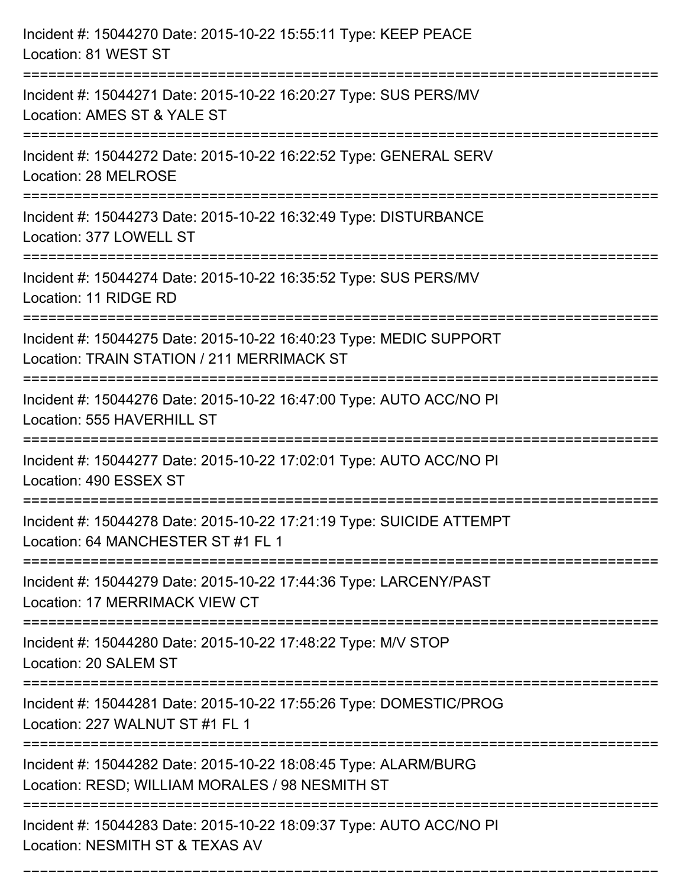| Incident #: 15044270 Date: 2015-10-22 15:55:11 Type: KEEP PEACE<br>Location: 81 WEST ST                                         |
|---------------------------------------------------------------------------------------------------------------------------------|
| Incident #: 15044271 Date: 2015-10-22 16:20:27 Type: SUS PERS/MV<br>Location: AMES ST & YALE ST                                 |
| Incident #: 15044272 Date: 2015-10-22 16:22:52 Type: GENERAL SERV<br>Location: 28 MELROSE                                       |
| Incident #: 15044273 Date: 2015-10-22 16:32:49 Type: DISTURBANCE<br>Location: 377 LOWELL ST                                     |
| Incident #: 15044274 Date: 2015-10-22 16:35:52 Type: SUS PERS/MV<br>Location: 11 RIDGE RD<br>:================================= |
| Incident #: 15044275 Date: 2015-10-22 16:40:23 Type: MEDIC SUPPORT<br>Location: TRAIN STATION / 211 MERRIMACK ST                |
| Incident #: 15044276 Date: 2015-10-22 16:47:00 Type: AUTO ACC/NO PI<br>Location: 555 HAVERHILL ST                               |
| Incident #: 15044277 Date: 2015-10-22 17:02:01 Type: AUTO ACC/NO PI<br>Location: 490 ESSEX ST                                   |
| Incident #: 15044278 Date: 2015-10-22 17:21:19 Type: SUICIDE ATTEMPT<br>Location: 64 MANCHESTER ST #1 FL 1                      |
| Incident #: 15044279 Date: 2015-10-22 17:44:36 Type: LARCENY/PAST<br>Location: 17 MERRIMACK VIEW CT                             |
| Incident #: 15044280 Date: 2015-10-22 17:48:22 Type: M/V STOP<br>Location: 20 SALEM ST                                          |
| Incident #: 15044281 Date: 2015-10-22 17:55:26 Type: DOMESTIC/PROG<br>Location: 227 WALNUT ST #1 FL 1                           |
| Incident #: 15044282 Date: 2015-10-22 18:08:45 Type: ALARM/BURG<br>Location: RESD; WILLIAM MORALES / 98 NESMITH ST              |
| Incident #: 15044283 Date: 2015-10-22 18:09:37 Type: AUTO ACC/NO PI<br>Location: NESMITH ST & TEXAS AV                          |

===========================================================================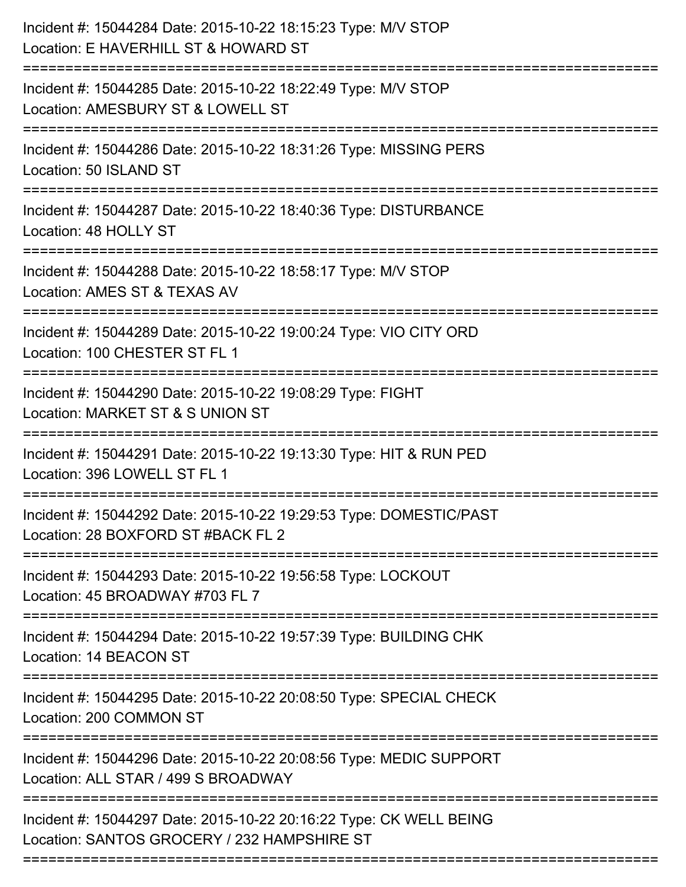| Incident #: 15044284 Date: 2015-10-22 18:15:23 Type: M/V STOP<br>Location: E HAVERHILL ST & HOWARD ST<br>============================= |
|----------------------------------------------------------------------------------------------------------------------------------------|
| Incident #: 15044285 Date: 2015-10-22 18:22:49 Type: M/V STOP<br>Location: AMESBURY ST & LOWELL ST                                     |
| Incident #: 15044286 Date: 2015-10-22 18:31:26 Type: MISSING PERS<br>Location: 50 ISLAND ST                                            |
| Incident #: 15044287 Date: 2015-10-22 18:40:36 Type: DISTURBANCE<br>Location: 48 HOLLY ST                                              |
| Incident #: 15044288 Date: 2015-10-22 18:58:17 Type: M/V STOP<br>Location: AMES ST & TEXAS AV                                          |
| Incident #: 15044289 Date: 2015-10-22 19:00:24 Type: VIO CITY ORD<br>Location: 100 CHESTER ST FL 1                                     |
| Incident #: 15044290 Date: 2015-10-22 19:08:29 Type: FIGHT<br>Location: MARKET ST & S UNION ST                                         |
| Incident #: 15044291 Date: 2015-10-22 19:13:30 Type: HIT & RUN PED<br>Location: 396 LOWELL ST FL 1                                     |
| Incident #: 15044292 Date: 2015-10-22 19:29:53 Type: DOMESTIC/PAST<br>Location: 28 BOXFORD ST #BACK FL 2                               |
| Incident #: 15044293 Date: 2015-10-22 19:56:58 Type: LOCKOUT<br>Location: 45 BROADWAY #703 FL 7                                        |
| Incident #: 15044294 Date: 2015-10-22 19:57:39 Type: BUILDING CHK<br>Location: 14 BEACON ST                                            |
| Incident #: 15044295 Date: 2015-10-22 20:08:50 Type: SPECIAL CHECK<br>Location: 200 COMMON ST                                          |
| Incident #: 15044296 Date: 2015-10-22 20:08:56 Type: MEDIC SUPPORT<br>Location: ALL STAR / 499 S BROADWAY                              |
| Incident #: 15044297 Date: 2015-10-22 20:16:22 Type: CK WELL BEING<br>Location: SANTOS GROCERY / 232 HAMPSHIRE ST                      |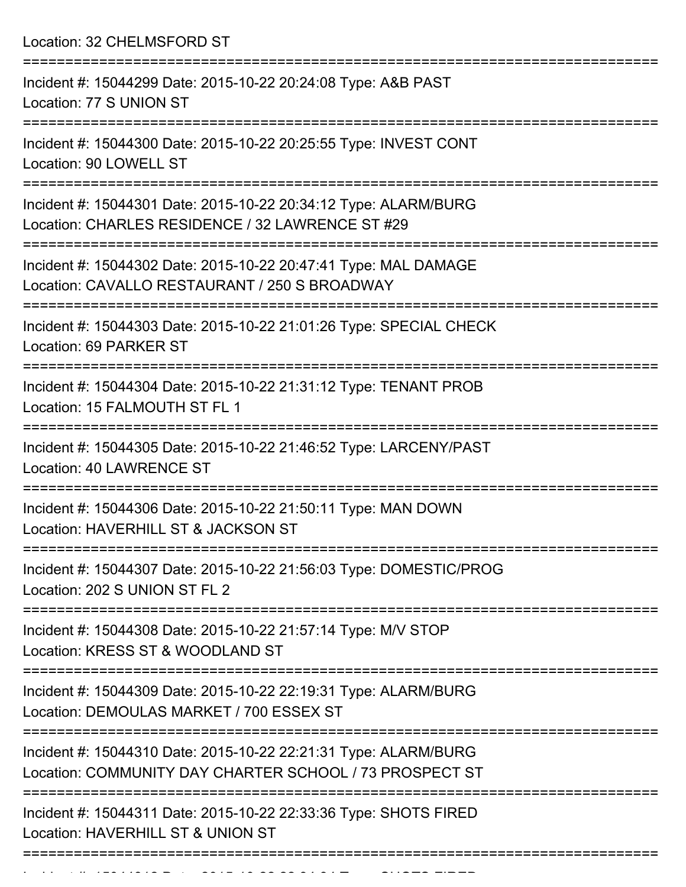Location: 32 CHELMSFORD ST

| Incident #: 15044299 Date: 2015-10-22 20:24:08 Type: A&B PAST<br>Location: 77 S UNION ST                                   |
|----------------------------------------------------------------------------------------------------------------------------|
| Incident #: 15044300 Date: 2015-10-22 20:25:55 Type: INVEST CONT<br>Location: 90 LOWELL ST                                 |
| Incident #: 15044301 Date: 2015-10-22 20:34:12 Type: ALARM/BURG<br>Location: CHARLES RESIDENCE / 32 LAWRENCE ST #29        |
| Incident #: 15044302 Date: 2015-10-22 20:47:41 Type: MAL DAMAGE<br>Location: CAVALLO RESTAURANT / 250 S BROADWAY           |
| Incident #: 15044303 Date: 2015-10-22 21:01:26 Type: SPECIAL CHECK<br>Location: 69 PARKER ST                               |
| Incident #: 15044304 Date: 2015-10-22 21:31:12 Type: TENANT PROB<br>Location: 15 FALMOUTH ST FL 1                          |
| Incident #: 15044305 Date: 2015-10-22 21:46:52 Type: LARCENY/PAST<br>Location: 40 LAWRENCE ST<br>==========                |
| Incident #: 15044306 Date: 2015-10-22 21:50:11 Type: MAN DOWN<br>Location: HAVERHILL ST & JACKSON ST                       |
| Incident #: 15044307 Date: 2015-10-22 21:56:03 Type: DOMESTIC/PROG<br>Location: 202 S UNION ST FL 2                        |
| Incident #: 15044308 Date: 2015-10-22 21:57:14 Type: M/V STOP<br>Location: KRESS ST & WOODLAND ST                          |
| Incident #: 15044309 Date: 2015-10-22 22:19:31 Type: ALARM/BURG<br>Location: DEMOULAS MARKET / 700 ESSEX ST                |
| Incident #: 15044310 Date: 2015-10-22 22:21:31 Type: ALARM/BURG<br>Location: COMMUNITY DAY CHARTER SCHOOL / 73 PROSPECT ST |
| Incident #: 15044311 Date: 2015-10-22 22:33:36 Type: SHOTS FIRED<br>Location: HAVERHILL ST & UNION ST                      |
|                                                                                                                            |